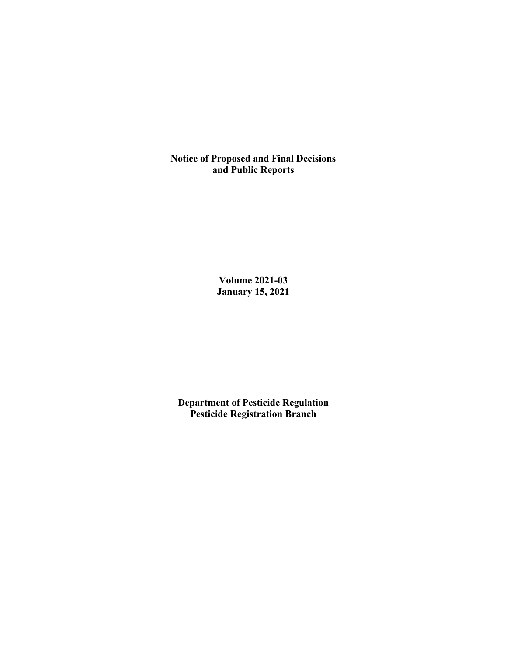**Notice of Proposed and Final Decisions and Public Reports**

> **Volume 2021-03 January 15, 2021**

**Department of Pesticide Regulation Pesticide Registration Branch**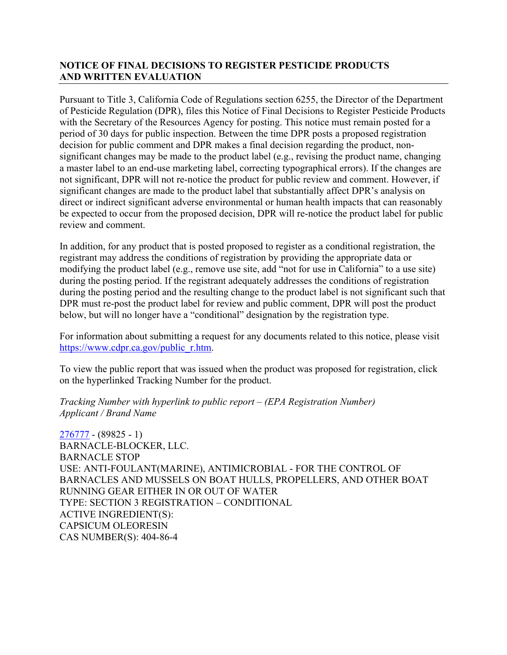# **NOTICE OF FINAL DECISIONS TO REGISTER PESTICIDE PRODUCTS AND WRITTEN EVALUATION**

Pursuant to Title 3, California Code of Regulations section 6255, the Director of the Department of Pesticide Regulation (DPR), files this Notice of Final Decisions to Register Pesticide Products with the Secretary of the Resources Agency for posting. This notice must remain posted for a period of 30 days for public inspection. Between the time DPR posts a proposed registration decision for public comment and DPR makes a final decision regarding the product, nonsignificant changes may be made to the product label (e.g., revising the product name, changing a master label to an end-use marketing label, correcting typographical errors). If the changes are not significant, DPR will not re-notice the product for public review and comment. However, if significant changes are made to the product label that substantially affect DPR's analysis on direct or indirect significant adverse environmental or human health impacts that can reasonably be expected to occur from the proposed decision, DPR will re-notice the product label for public review and comment.

In addition, for any product that is posted proposed to register as a conditional registration, the registrant may address the conditions of registration by providing the appropriate data or modifying the product label (e.g., remove use site, add "not for use in California" to a use site) during the posting period. If the registrant adequately addresses the conditions of registration during the posting period and the resulting change to the product label is not significant such that DPR must re-post the product label for review and public comment, DPR will post the product below, but will no longer have a "conditional" designation by the registration type.

For information about submitting a request for any documents related to this notice, please visit [https://www.cdpr.ca.gov/public\\_r.htm.](https://www.cdpr.ca.gov/public_r.htm)

To view the public report that was issued when the product was proposed for registration, click on the hyperlinked Tracking Number for the product.

*Tracking Number with hyperlink to public report – (EPA Registration Number) Applicant / Brand Name*

 $276777 - (89825 - 1)$  $276777 - (89825 - 1)$ BARNACLE-BLOCKER, LLC. BARNACLE STOP USE: ANTI-FOULANT(MARINE), ANTIMICROBIAL - FOR THE CONTROL OF BARNACLES AND MUSSELS ON BOAT HULLS, PROPELLERS, AND OTHER BOAT RUNNING GEAR EITHER IN OR OUT OF WATER TYPE: SECTION 3 REGISTRATION – CONDITIONAL ACTIVE INGREDIENT(S): CAPSICUM OLEORESIN CAS NUMBER(S): 404-86-4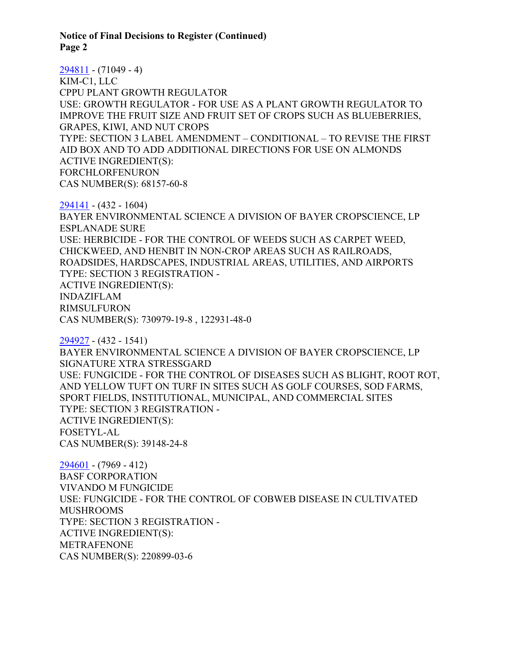[294811](https://www.cdpr.ca.gov/docs/registration/nod/public_reports/294811.pdf) - (71049 - 4) KIM-C1, LLC CPPU PLANT GROWTH REGULATOR USE: GROWTH REGULATOR - FOR USE AS A PLANT GROWTH REGULATOR TO IMPROVE THE FRUIT SIZE AND FRUIT SET OF CROPS SUCH AS BLUEBERRIES, GRAPES, KIWI, AND NUT CROPS TYPE: SECTION 3 LABEL AMENDMENT – CONDITIONAL – TO REVISE THE FIRST AID BOX AND TO ADD ADDITIONAL DIRECTIONS FOR USE ON ALMONDS ACTIVE INGREDIENT(S): FORCHLORFENURON CAS NUMBER(S): 68157-60-8

[294141](https://www.cdpr.ca.gov/docs/registration/nod/public_reports/294141.pdf) - (432 - 1604) BAYER ENVIRONMENTAL SCIENCE A DIVISION OF BAYER CROPSCIENCE, LP ESPLANADE SURE USE: HERBICIDE - FOR THE CONTROL OF WEEDS SUCH AS CARPET WEED, CHICKWEED, AND HENBIT IN NON-CROP AREAS SUCH AS RAILROADS, ROADSIDES, HARDSCAPES, INDUSTRIAL AREAS, UTILITIES, AND AIRPORTS TYPE: SECTION 3 REGISTRATION - ACTIVE INGREDIENT(S): INDAZIFLAM RIMSULFURON CAS NUMBER(S): 730979-19-8 , 122931-48-0

[294927](https://www.cdpr.ca.gov/docs/registration/nod/public_reports/294927.pdf) - (432 - 1541) BAYER ENVIRONMENTAL SCIENCE A DIVISION OF BAYER CROPSCIENCE, LP SIGNATURE XTRA STRESSGARD USE: FUNGICIDE - FOR THE CONTROL OF DISEASES SUCH AS BLIGHT, ROOT ROT, AND YELLOW TUFT ON TURF IN SITES SUCH AS GOLF COURSES, SOD FARMS, SPORT FIELDS, INSTITUTIONAL, MUNICIPAL, AND COMMERCIAL SITES TYPE: SECTION 3 REGISTRATION - ACTIVE INGREDIENT(S): FOSETYL-AL CAS NUMBER(S): 39148-24-8

[294601](https://www.cdpr.ca.gov/docs/registration/nod/public_reports/294601.pdf) - (7969 - 412) BASF CORPORATION VIVANDO M FUNGICIDE USE: FUNGICIDE - FOR THE CONTROL OF COBWEB DISEASE IN CULTIVATED MUSHROOMS TYPE: SECTION 3 REGISTRATION - ACTIVE INGREDIENT(S): METRAFENONE CAS NUMBER(S): 220899-03-6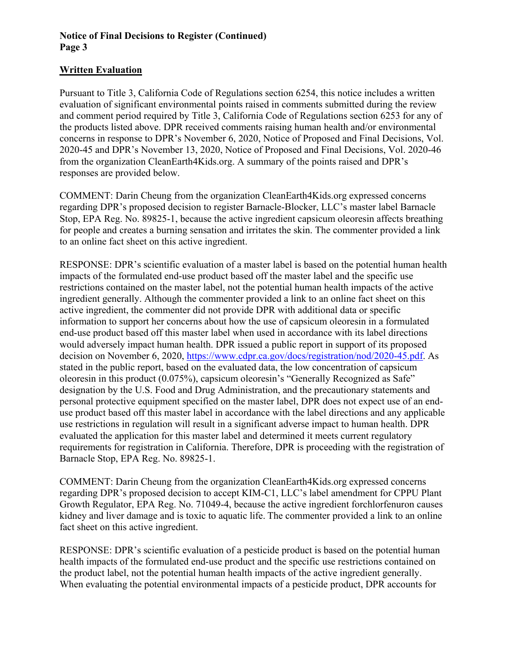## **Written Evaluation**

Pursuant to Title 3, California Code of Regulations section 6254, this notice includes a written evaluation of significant environmental points raised in comments submitted during the review and comment period required by Title 3, California Code of Regulations section 6253 for any of the products listed above. DPR received comments raising human health and/or environmental concerns in response to DPR's November 6, 2020, Notice of Proposed and Final Decisions, Vol. 2020-45 and DPR's November 13, 2020, Notice of Proposed and Final Decisions, Vol. 2020-46 from the organization CleanEarth4Kids.org. A summary of the points raised and DPR's responses are provided below.

COMMENT: Darin Cheung from the organization CleanEarth4Kids.org expressed concerns regarding DPR's proposed decision to register Barnacle-Blocker, LLC's master label Barnacle Stop, EPA Reg. No. 89825-1, because the active ingredient capsicum oleoresin affects breathing for people and creates a burning sensation and irritates the skin. The commenter provided a link to an online fact sheet on this active ingredient.

RESPONSE: DPR's scientific evaluation of a master label is based on the potential human health impacts of the formulated end-use product based off the master label and the specific use restrictions contained on the master label, not the potential human health impacts of the active ingredient generally. Although the commenter provided a link to an online fact sheet on this active ingredient, the commenter did not provide DPR with additional data or specific information to support her concerns about how the use of capsicum oleoresin in a formulated end-use product based off this master label when used in accordance with its label directions would adversely impact human health. DPR issued a public report in support of its proposed decision on November 6, 2020, [https://www.cdpr.ca.gov/docs/registration/nod/2020-45.pdf.](https://www.cdpr.ca.gov/docs/registration/nod/2020-45.pdf) As stated in the public report, based on the evaluated data, the low concentration of capsicum oleoresin in this product (0.075%), capsicum oleoresin's "Generally Recognized as Safe" designation by the U.S. Food and Drug Administration, and the precautionary statements and personal protective equipment specified on the master label, DPR does not expect use of an enduse product based off this master label in accordance with the label directions and any applicable use restrictions in regulation will result in a significant adverse impact to human health. DPR evaluated the application for this master label and determined it meets current regulatory requirements for registration in California. Therefore, DPR is proceeding with the registration of Barnacle Stop, EPA Reg. No. 89825-1.

COMMENT: Darin Cheung from the organization CleanEarth4Kids.org expressed concerns regarding DPR's proposed decision to accept KIM-C1, LLC's label amendment for CPPU Plant Growth Regulator, EPA Reg. No. 71049-4, because the active ingredient forchlorfenuron causes kidney and liver damage and is toxic to aquatic life. The commenter provided a link to an online fact sheet on this active ingredient.

RESPONSE: DPR's scientific evaluation of a pesticide product is based on the potential human health impacts of the formulated end-use product and the specific use restrictions contained on the product label, not the potential human health impacts of the active ingredient generally. When evaluating the potential environmental impacts of a pesticide product, DPR accounts for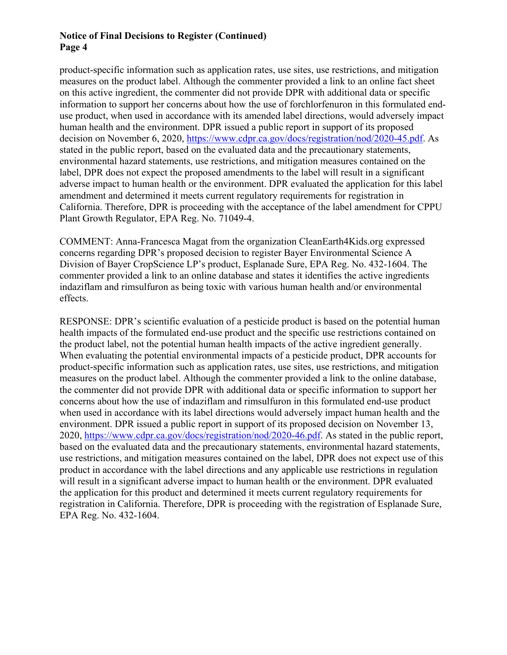product-specific information such as application rates, use sites, use restrictions, and mitigation measures on the product label. Although the commenter provided a link to an online fact sheet on this active ingredient, the commenter did not provide DPR with additional data or specific information to support her concerns about how the use of forchlorfenuron in this formulated enduse product, when used in accordance with its amended label directions, would adversely impact human health and the environment. DPR issued a public report in support of its proposed decision on November 6, 2020, [https://www.cdpr.ca.gov/docs/registration/nod/2020-45.pdf.](https://www.cdpr.ca.gov/docs/registration/nod/2020-45.pdf) As stated in the public report, based on the evaluated data and the precautionary statements, environmental hazard statements, use restrictions, and mitigation measures contained on the label, DPR does not expect the proposed amendments to the label will result in a significant adverse impact to human health or the environment. DPR evaluated the application for this label amendment and determined it meets current regulatory requirements for registration in California. Therefore, DPR is proceeding with the acceptance of the label amendment for CPPU Plant Growth Regulator, EPA Reg. No. 71049-4.

COMMENT: Anna-Francesca Magat from the organization CleanEarth4Kids.org expressed concerns regarding DPR's proposed decision to register Bayer Environmental Science A Division of Bayer CropScience LP's product, Esplanade Sure, EPA Reg. No. 432-1604. The commenter provided a link to an online database and states it identifies the active ingredients indaziflam and rimsulfuron as being toxic with various human health and/or environmental effects.

RESPONSE: DPR's scientific evaluation of a pesticide product is based on the potential human health impacts of the formulated end-use product and the specific use restrictions contained on the product label, not the potential human health impacts of the active ingredient generally. When evaluating the potential environmental impacts of a pesticide product, DPR accounts for product-specific information such as application rates, use sites, use restrictions, and mitigation measures on the product label. Although the commenter provided a link to the online database, the commenter did not provide DPR with additional data or specific information to support her concerns about how the use of indaziflam and rimsulfuron in this formulated end-use product when used in accordance with its label directions would adversely impact human health and the environment. DPR issued a public report in support of its proposed decision on November 13, 2020, [https://www.cdpr.ca.gov/docs/registration/nod/2020-46.pdf.](https://www.cdpr.ca.gov/docs/registration/nod/2020-46.pdf) As stated in the public report, based on the evaluated data and the precautionary statements, environmental hazard statements, use restrictions, and mitigation measures contained on the label, DPR does not expect use of this product in accordance with the label directions and any applicable use restrictions in regulation will result in a significant adverse impact to human health or the environment. DPR evaluated the application for this product and determined it meets current regulatory requirements for registration in California. Therefore, DPR is proceeding with the registration of Esplanade Sure, EPA Reg. No. 432-1604.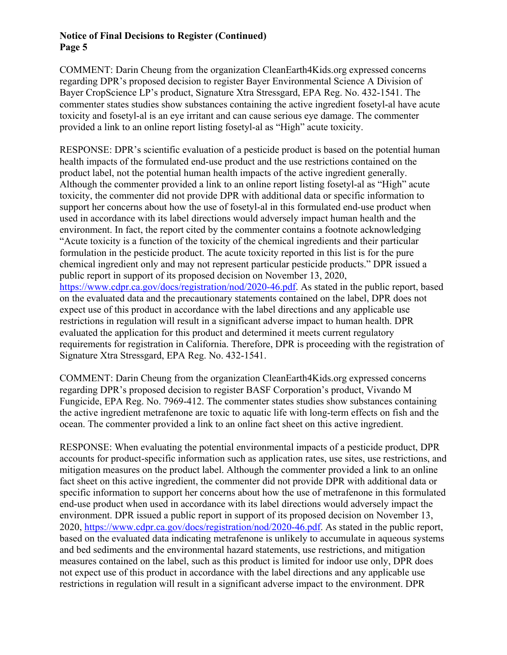COMMENT: Darin Cheung from the organization CleanEarth4Kids.org expressed concerns regarding DPR's proposed decision to register Bayer Environmental Science A Division of Bayer CropScience LP's product, Signature Xtra Stressgard, EPA Reg. No. 432-1541. The commenter states studies show substances containing the active ingredient fosetyl-al have acute toxicity and fosetyl-al is an eye irritant and can cause serious eye damage. The commenter provided a link to an online report listing fosetyl-al as "High" acute toxicity.

RESPONSE: DPR's scientific evaluation of a pesticide product is based on the potential human health impacts of the formulated end-use product and the use restrictions contained on the product label, not the potential human health impacts of the active ingredient generally. Although the commenter provided a link to an online report listing fosetyl-al as "High" acute toxicity, the commenter did not provide DPR with additional data or specific information to support her concerns about how the use of fosetyl-al in this formulated end-use product when used in accordance with its label directions would adversely impact human health and the environment. In fact, the report cited by the commenter contains a footnote acknowledging "Acute toxicity is a function of the toxicity of the chemical ingredients and their particular formulation in the pesticide product. The acute toxicity reported in this list is for the pure chemical ingredient only and may not represent particular pesticide products." DPR issued a public report in support of its proposed decision on November 13, 2020, [https://www.cdpr.ca.gov/docs/registration/nod/2020-46.pdf.](https://www.cdpr.ca.gov/docs/registration/nod/2020-46.pdf) As stated in the public report, based on the evaluated data and the precautionary statements contained on the label, DPR does not expect use of this product in accordance with the label directions and any applicable use restrictions in regulation will result in a significant adverse impact to human health. DPR evaluated the application for this product and determined it meets current regulatory requirements for registration in California. Therefore, DPR is proceeding with the registration of Signature Xtra Stressgard, EPA Reg. No. 432-1541.

COMMENT: Darin Cheung from the organization CleanEarth4Kids.org expressed concerns regarding DPR's proposed decision to register BASF Corporation's product, Vivando M Fungicide, EPA Reg. No. 7969-412. The commenter states studies show substances containing the active ingredient metrafenone are toxic to aquatic life with long-term effects on fish and the ocean. The commenter provided a link to an online fact sheet on this active ingredient.

RESPONSE: When evaluating the potential environmental impacts of a pesticide product, DPR accounts for product-specific information such as application rates, use sites, use restrictions, and mitigation measures on the product label. Although the commenter provided a link to an online fact sheet on this active ingredient, the commenter did not provide DPR with additional data or specific information to support her concerns about how the use of metrafenone in this formulated end-use product when used in accordance with its label directions would adversely impact the environment. DPR issued a public report in support of its proposed decision on November 13, 2020, [https://www.cdpr.ca.gov/docs/registration/nod/2020-46.pdf.](https://www.cdpr.ca.gov/docs/registration/nod/2020-46.pdf) As stated in the public report, based on the evaluated data indicating metrafenone is unlikely to accumulate in aqueous systems and bed sediments and the environmental hazard statements, use restrictions, and mitigation measures contained on the label, such as this product is limited for indoor use only, DPR does not expect use of this product in accordance with the label directions and any applicable use restrictions in regulation will result in a significant adverse impact to the environment. DPR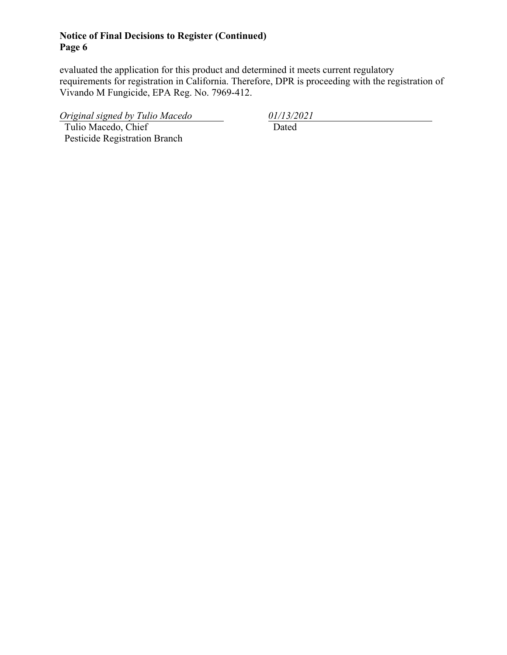evaluated the application for this product and determined it meets current regulatory requirements for registration in California. Therefore, DPR is proceeding with the registration of Vivando M Fungicide, EPA Reg. No. 7969-412.

*Original signed by Tulio Macedo 01/13/2021*

 Tulio Macedo, Chief Pesticide Registration Branch Dated